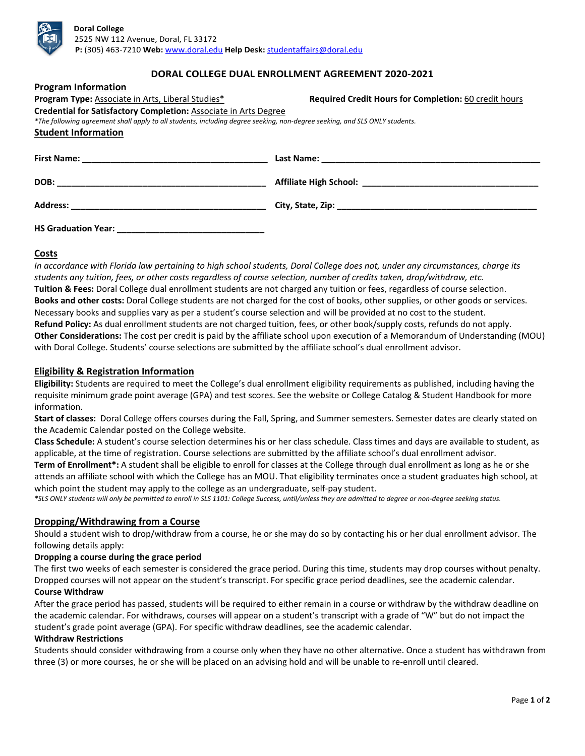

# **DORAL COLLEGE DUAL ENROLLMENT AGREEMENT 2020-2021**

| Program Information                                                                                                        |                                                       |  |
|----------------------------------------------------------------------------------------------------------------------------|-------------------------------------------------------|--|
| Program Type: Associate in Arts, Liberal Studies*                                                                          | Required Credit Hours for Completion: 60 credit hours |  |
| Credential for Satisfactory Completion: Associate in Arts Degree                                                           |                                                       |  |
| *The following agreement shall apply to all students, including degree seeking, non-degree seeking, and SLS ONLY students. |                                                       |  |
| <b>Student Information</b>                                                                                                 |                                                       |  |
|                                                                                                                            |                                                       |  |
|                                                                                                                            |                                                       |  |
|                                                                                                                            |                                                       |  |
|                                                                                                                            |                                                       |  |

# **Costs**

*In accordance with Florida law pertaining to high school students, Doral College does not, under any circumstances, charge its students any tuition, fees, or other costs regardless of course selection, number of credits taken, drop/withdraw, etc.*  **Tuition & Fees:** Doral College dual enrollment students are not charged any tuition or fees, regardless of course selection. **Books and other costs:** Doral College students are not charged for the cost of books, other supplies, or other goods or services. Necessary books and supplies vary as per a student's course selection and will be provided at no cost to the student. **Refund Policy:** As dual enrollment students are not charged tuition, fees, or other book/supply costs, refunds do not apply. **Other Considerations:** The cost per credit is paid by the affiliate school upon execution of a Memorandum of Understanding (MOU) with Doral College. Students' course selections are submitted by the affiliate school's dual enrollment advisor.

### **Eligibility & Registration Information**

**Program Information**

**Eligibility:** Students are required to meet the College's dual enrollment eligibility requirements as published, including having the requisite minimum grade point average (GPA) and test scores. See the website or College Catalog & Student Handbook for more information.

**Start of classes:** Doral College offers courses during the Fall, Spring, and Summer semesters. Semester dates are clearly stated on the Academic Calendar posted on the College website.

**Class Schedule:** A student's course selection determines his or her class schedule. Class times and days are available to student, as applicable, at the time of registration. Course selections are submitted by the affiliate school's dual enrollment advisor.

**Term of Enrollment\*:** A student shall be eligible to enroll for classes at the College through dual enrollment as long as he or she attends an affiliate school with which the College has an MOU. That eligibility terminates once a student graduates high school, at which point the student may apply to the college as an undergraduate, self-pay student.

*\*SLS ONLY students will only be permitted to enroll in SLS 1101: College Success, until/unless they are admitted to degree or non-degree seeking status.*

### **Dropping/Withdrawing from a Course**

Should a student wish to drop/withdraw from a course, he or she may do so by contacting his or her dual enrollment advisor. The following details apply:

### **Dropping a course during the grace period**

The first two weeks of each semester is considered the grace period. During this time, students may drop courses without penalty. Dropped courses will not appear on the student's transcript. For specific grace period deadlines, see the academic calendar. **Course Withdraw**

After the grace period has passed, students will be required to either remain in a course or withdraw by the withdraw deadline on the academic calendar. For withdraws, courses will appear on a student's transcript with a grade of "W" but do not impact the student's grade point average (GPA). For specific withdraw deadlines, see the academic calendar.

#### **Withdraw Restrictions**

Students should consider withdrawing from a course only when they have no other alternative. Once a student has withdrawn from three (3) or more courses, he or she will be placed on an advising hold and will be unable to re-enroll until cleared.